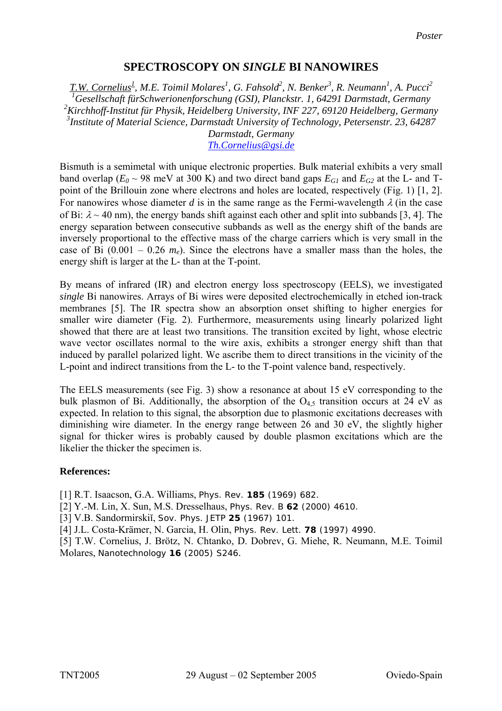## **SPECTROSCOPY ON** *SINGLE* **BI NANOWIRES**

*T.W. Cornelius<sup>1</sup> , M.E. Toimil Molares<sup>1</sup> , G. Fahsold2 , N. Benker3 , R. Neumann1 , A. Pucci<sup>2</sup> Gesellschaft fürSchwerionenforschung (GSI), Planckstr. 1, 64291 Darmstadt, Germany Kirchhoff-Institut für Physik, Heidelberg University, INF 227, 69120 Heidelberg, Germany Institute of Material Science, Darmstadt University of Technology, Petersenstr. 23, 64287* 

*Darmstadt, Germany [Th.Cornelius@gsi.de](mailto:Th.Cornelius@gsi.de)*

Bismuth is a semimetal with unique electronic properties. Bulk material exhibits a very small band overlap ( $E_0 \sim 98$  meV at 300 K) and two direct band gaps  $E_{GI}$  and  $E_{G2}$  at the L- and Tpoint of the Brillouin zone where electrons and holes are located, respectively (Fig. 1) [1, 2]. For nanowires whose diameter *d* is in the same range as the Fermi-wavelength  $\lambda$  (in the case of Bi:  $\lambda \sim 40$  nm), the energy bands shift against each other and split into subbands [3, 4]. The energy separation between consecutive subbands as well as the energy shift of the bands are inversely proportional to the effective mass of the charge carriers which is very small in the case of Bi  $(0.001 - 0.26 \, m_e)$ . Since the electrons have a smaller mass than the holes, the energy shift is larger at the L- than at the T-point.

By means of infrared (IR) and electron energy loss spectroscopy (EELS), we investigated *single* Bi nanowires. Arrays of Bi wires were deposited electrochemically in etched ion-track membranes [5]. The IR spectra show an absorption onset shifting to higher energies for smaller wire diameter (Fig. 2). Furthermore, measurements using linearly polarized light showed that there are at least two transitions. The transition excited by light, whose electric wave vector oscillates normal to the wire axis, exhibits a stronger energy shift than that induced by parallel polarized light. We ascribe them to direct transitions in the vicinity of the L-point and indirect transitions from the L- to the T-point valence band, respectively.

The EELS measurements (see Fig. 3) show a resonance at about 15 eV corresponding to the bulk plasmon of Bi. Additionally, the absorption of the  $O_{4.5}$  transition occurs at 24 eV as expected. In relation to this signal, the absorption due to plasmonic excitations decreases with diminishing wire diameter. In the energy range between 26 and 30 eV, the slightly higher signal for thicker wires is probably caused by double plasmon excitations which are the likelier the thicker the specimen is.

## **References:**

[1] R.T. Isaacson, G.A. Williams, Phys. Rev. **185** (1969) 682.

[2] Y.-M. Lin, X. Sun, M.S. Dresselhaus, Phys. Rev. B **62** (2000) 4610.

[3] V.B. Sandormirskiĭ, Sov. Phys. JETP **25** (1967) 101.

[4] J.L. Costa-Krämer, N. Garcia, H. Olin, Phys. Rev. Lett. **78** (1997) 4990.

[5] T.W. Cornelius, J. Brötz, N. Chtanko, D. Dobrev, G. Miehe, R. Neumann, M.E. Toimil Molares, Nanotechnology **16** (2005) S246.